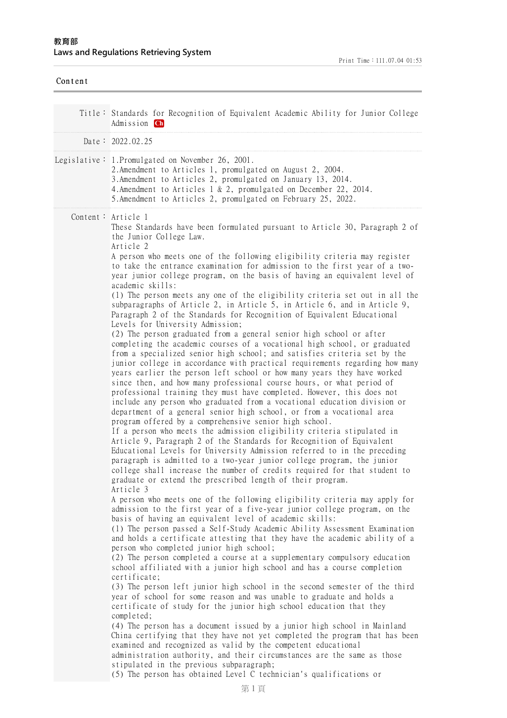| Content |                                                                                                                                                                                                                                                                                                                                                                                                                                                                                                                                                                                                                                                                                                                                                                                                                                                                                                                                                                                                                                                                                                                                                                                                                                                                                                                                                                                                                                                                                                                                                                                                                                                                                                                                                                                                                                                                                                                                                                                                                                                                                                                                                                                                                                                                                                                                                                                                                                                                                                                                                                                                                                                                                                                                                                                                                                                                                                                                                                                                                                                                                                                                                                                          |
|---------|------------------------------------------------------------------------------------------------------------------------------------------------------------------------------------------------------------------------------------------------------------------------------------------------------------------------------------------------------------------------------------------------------------------------------------------------------------------------------------------------------------------------------------------------------------------------------------------------------------------------------------------------------------------------------------------------------------------------------------------------------------------------------------------------------------------------------------------------------------------------------------------------------------------------------------------------------------------------------------------------------------------------------------------------------------------------------------------------------------------------------------------------------------------------------------------------------------------------------------------------------------------------------------------------------------------------------------------------------------------------------------------------------------------------------------------------------------------------------------------------------------------------------------------------------------------------------------------------------------------------------------------------------------------------------------------------------------------------------------------------------------------------------------------------------------------------------------------------------------------------------------------------------------------------------------------------------------------------------------------------------------------------------------------------------------------------------------------------------------------------------------------------------------------------------------------------------------------------------------------------------------------------------------------------------------------------------------------------------------------------------------------------------------------------------------------------------------------------------------------------------------------------------------------------------------------------------------------------------------------------------------------------------------------------------------------------------------------------------------------------------------------------------------------------------------------------------------------------------------------------------------------------------------------------------------------------------------------------------------------------------------------------------------------------------------------------------------------------------------------------------------------------------------------------------------------|
|         | Title: Standards for Recognition of Equivalent Academic Ability for Junior College<br>Admission Ch                                                                                                                                                                                                                                                                                                                                                                                                                                                                                                                                                                                                                                                                                                                                                                                                                                                                                                                                                                                                                                                                                                                                                                                                                                                                                                                                                                                                                                                                                                                                                                                                                                                                                                                                                                                                                                                                                                                                                                                                                                                                                                                                                                                                                                                                                                                                                                                                                                                                                                                                                                                                                                                                                                                                                                                                                                                                                                                                                                                                                                                                                       |
|         | Date: $2022.02.25$                                                                                                                                                                                                                                                                                                                                                                                                                                                                                                                                                                                                                                                                                                                                                                                                                                                                                                                                                                                                                                                                                                                                                                                                                                                                                                                                                                                                                                                                                                                                                                                                                                                                                                                                                                                                                                                                                                                                                                                                                                                                                                                                                                                                                                                                                                                                                                                                                                                                                                                                                                                                                                                                                                                                                                                                                                                                                                                                                                                                                                                                                                                                                                       |
|         | Legislative: 1. Promulgated on November 26, 2001.<br>2. Amendment to Articles 1, promulgated on August 2, 2004.<br>3. Amendment to Articles 2, promulgated on January 13, 2014.<br>4. Amendment to Articles 1 & 2, promulgated on December 22, 2014.<br>5.Amendment to Articles 2, promulgated on February 25, 2022.                                                                                                                                                                                                                                                                                                                                                                                                                                                                                                                                                                                                                                                                                                                                                                                                                                                                                                                                                                                                                                                                                                                                                                                                                                                                                                                                                                                                                                                                                                                                                                                                                                                                                                                                                                                                                                                                                                                                                                                                                                                                                                                                                                                                                                                                                                                                                                                                                                                                                                                                                                                                                                                                                                                                                                                                                                                                     |
|         | Content: Article 1<br>These Standards have been formulated pursuant to Article 30, Paragraph 2 of<br>the Junior College Law.<br>Article 2<br>A person who meets one of the following eligibility criteria may register<br>to take the entrance examination for admission to the first year of a two-<br>year junior college program, on the basis of having an equivalent level of<br>academic skills:<br>(1) The person meets any one of the eligibility criteria set out in all the<br>subparagraphs of Article 2, in Article 5, in Article 6, and in Article 9,<br>Paragraph 2 of the Standards for Recognition of Equivalent Educational<br>Levels for University Admission;<br>(2) The person graduated from a general senior high school or after<br>completing the academic courses of a vocational high school, or graduated<br>from a specialized senior high school; and satisfies criteria set by the<br>junior college in accordance with practical requirements regarding how many<br>years earlier the person left school or how many years they have worked<br>since then, and how many professional course hours, or what period of<br>professional training they must have completed. However, this does not<br>include any person who graduated from a vocational education division or<br>department of a general senior high school, or from a vocational area<br>program offered by a comprehensive senior high school.<br>If a person who meets the admission eligibility criteria stipulated in<br>Article 9, Paragraph 2 of the Standards for Recognition of Equivalent<br>Educational Levels for University Admission referred to in the preceding<br>paragraph is admitted to a two-year junior college program, the junior<br>college shall increase the number of credits required for that student to<br>graduate or extend the prescribed length of their program.<br>Article 3<br>A person who meets one of the following eligibility criteria may apply for<br>admission to the first year of a five-year junior college program, on the<br>basis of having an equivalent level of academic skills:<br>(1) The person passed a Self-Study Academic Ability Assessment Examination<br>and holds a certificate attesting that they have the academic ability of a<br>person who completed junior high school;<br>(2) The person completed a course at a supplementary compulsory education<br>school affiliated with a junior high school and has a course completion<br>certificate;<br>(3) The person left junior high school in the second semester of the third<br>year of school for some reason and was unable to graduate and holds a<br>certificate of study for the junior high school education that they<br>completed;<br>(4) The person has a document issued by a junior high school in Mainland<br>China certifying that they have not yet completed the program that has been<br>examined and recognized as valid by the competent educational<br>administration authority, and their circumstances are the same as those<br>stipulated in the previous subparagraph;<br>(5) The person has obtained Level C technician's qualifications or |